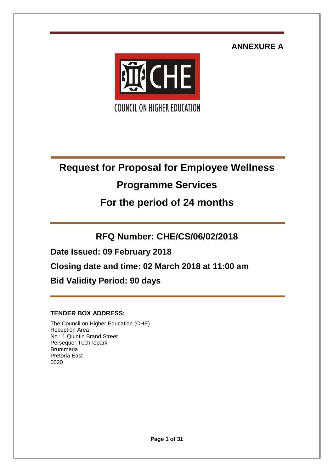**ANNEXURE A**



# **Request for Proposal for Employee Wellness**

# **Programme Services**

# **For the period of 24 months**

**RFQ Number: CHE/CS/06/02/2018**

**Date Issued: 09 February 2018**

**Closing date and time: 02 March 2018 at 11:00 am**

**Bid Validity Period: 90 days**

# **TENDER BOX ADDRESS:**

The Council on Higher Education (CHE) Reception Area No.: 1 Quintin Brand Street Persequor Technopark **Brummeria** Pretoria East 0020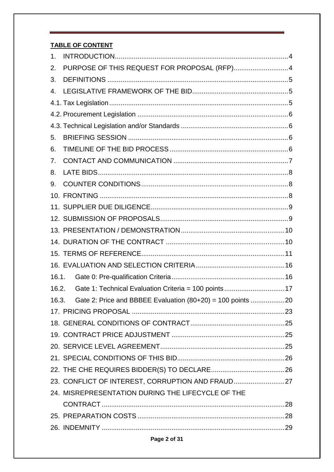# **TABLE OF CONTENT**

| 1.    |                                                              |
|-------|--------------------------------------------------------------|
| 2.    | PURPOSE OF THIS REQUEST FOR PROPOSAL (RFP)4                  |
| 3.    |                                                              |
| 4.    |                                                              |
|       |                                                              |
|       |                                                              |
|       |                                                              |
| 5.    |                                                              |
| 6.    |                                                              |
| 7.    |                                                              |
| 8.    |                                                              |
| 9.    |                                                              |
|       |                                                              |
|       |                                                              |
|       |                                                              |
|       |                                                              |
|       |                                                              |
|       |                                                              |
|       |                                                              |
| 16.1. |                                                              |
| 16.2. | Gate 1: Technical Evaluation Criteria = 100 points17         |
| 16.3. | Gate 2: Price and BBBEE Evaluation $(80+20) = 100$ points 20 |
|       |                                                              |
|       |                                                              |
|       |                                                              |
|       |                                                              |
|       |                                                              |
|       |                                                              |
|       | 23. CONFLICT OF INTEREST, CORRUPTION AND FRAUD27             |
|       | 24. MISREPRESENTATION DURING THE LIFECYCLE OF THE            |
|       |                                                              |
|       |                                                              |
|       |                                                              |
|       |                                                              |

# Page 2 of 31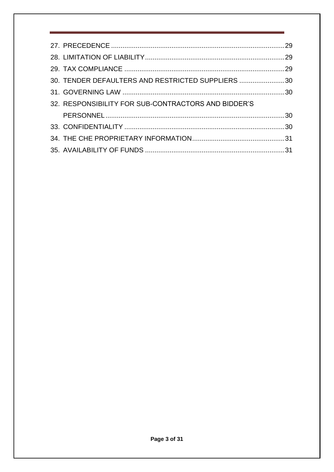| 30. TENDER DEFAULTERS AND RESTRICTED SUPPLIERS 30   |  |
|-----------------------------------------------------|--|
|                                                     |  |
| 32. RESPONSIBILITY FOR SUB-CONTRACTORS AND BIDDER'S |  |
|                                                     |  |
|                                                     |  |
|                                                     |  |
|                                                     |  |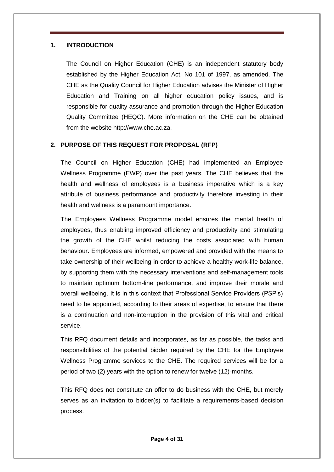#### <span id="page-3-0"></span>**1. INTRODUCTION**

The Council on Higher Education (CHE) is an independent statutory body established by the Higher Education Act, No 101 of 1997, as amended. The CHE as the Quality Council for Higher Education advises the Minister of Higher Education and Training on all higher education policy issues, and is responsible for quality assurance and promotion through the Higher Education Quality Committee (HEQC). More information on the CHE can be obtained from the website http://www.che.ac.za.

#### **2. PURPOSE OF THIS REQUEST FOR PROPOSAL (RFP)**

The Council on Higher Education (CHE) had implemented an Employee Wellness Programme (EWP) over the past years. The CHE believes that the health and wellness of employees is a business imperative which is a key attribute of business performance and productivity therefore investing in their health and wellness is a paramount importance.

The Employees Wellness Programme model ensures the mental health of employees, thus enabling improved efficiency and productivity and stimulating the growth of the CHE whilst reducing the costs associated with human behaviour. Employees are informed, empowered and provided with the means to take ownership of their wellbeing in order to achieve a healthy work-life balance, by supporting them with the necessary interventions and self-management tools to maintain optimum bottom-line performance, and improve their morale and overall wellbeing. It is in this context that Professional Service Providers (PSP's) need to be appointed, according to their areas of expertise, to ensure that there is a continuation and non-interruption in the provision of this vital and critical service.

This RFQ document details and incorporates, as far as possible, the tasks and responsibilities of the potential bidder required by the CHE for the Employee Wellness Programme services to the CHE. The required services will be for a period of two (2) years with the option to renew for twelve (12)-months.

This RFQ does not constitute an offer to do business with the CHE, but merely serves as an invitation to bidder(s) to facilitate a requirements-based decision process.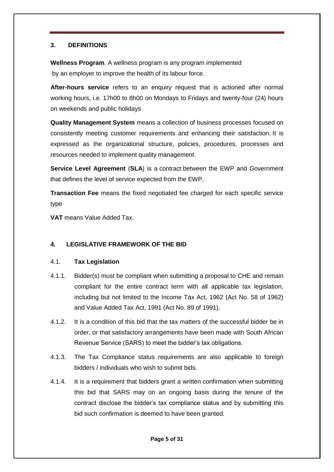# <span id="page-4-0"></span>**3. DEFINITIONS**

**Wellness Program**. A wellness program is any program implemented by an employer to improve the health of its labour force.

**After-hours service** refers to an enquiry request that is actioned after normal working hours, i.e. 17h00 to 8h00 on Mondays to Fridays and twenty-four (24) hours on weekends and public holidays

**Quality Management System** means a collection of business processes focused on consistently meeting customer requirements and enhancing their satisfaction. It is expressed as the organizational structure, policies, procedures, processes and resources needed to implement [quality management.](https://en.wikipedia.org/wiki/Quality_management)

**Service Level Agreement** (**SLA**) is a contract between the EWP and Government that defines the level of service expected from the EWP.

**Transaction Fee** means the fixed negotiated fee charged for each specific service type

**VAT** means Value Added Tax.

# <span id="page-4-1"></span>**4. LEGISLATIVE FRAMEWORK OF THE BID**

# <span id="page-4-2"></span>4.1. **Tax Legislation**

- 4.1.1. Bidder(s) must be compliant when submitting a proposal to CHE and remain compliant for the entire contract term with all applicable tax legislation, including but not limited to the Income Tax Act, 1962 (Act No. 58 of 1962) and Value Added Tax Act, 1991 (Act No. 89 of 1991).
- 4.1.2. It is a condition of this bid that the tax matters of the successful bidder be in order, or that satisfactory arrangements have been made with South African Revenue Service (SARS) to meet the bidder's tax obligations.
- 4.1.3. The Tax Compliance status requirements are also applicable to foreign bidders / individuals who wish to submit bids.
- 4.1.4. It is a requirement that bidders grant a written confirmation when submitting this bid that SARS may on an ongoing basis during the tenure of the contract disclose the bidder's tax compliance status and by submitting this bid such confirmation is deemed to have been granted.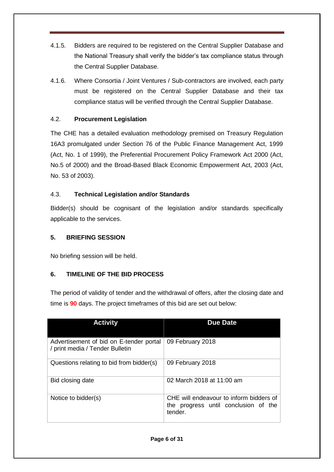- 4.1.5. Bidders are required to be registered on the Central Supplier Database and the National Treasury shall verify the bidder's tax compliance status through the Central Supplier Database.
- 4.1.6. Where Consortia / Joint Ventures / Sub-contractors are involved, each party must be registered on the Central Supplier Database and their tax compliance status will be verified through the Central Supplier Database.

# <span id="page-5-0"></span>4.2. **Procurement Legislation**

The CHE has a detailed evaluation methodology premised on Treasury Regulation 16A3 promulgated under Section 76 of the Public Finance Management Act, 1999 (Act, No. 1 of 1999), the Preferential Procurement Policy Framework Act 2000 (Act, No.5 of 2000) and the Broad-Based Black Economic Empowerment Act, 2003 (Act, No. 53 of 2003).

# <span id="page-5-1"></span>4.3. **Technical Legislation and/or Standards**

Bidder(s) should be cognisant of the legislation and/or standards specifically applicable to the services.

# <span id="page-5-2"></span>**5. BRIEFING SESSION**

No briefing session will be held.

# <span id="page-5-3"></span>**6. TIMELINE OF THE BID PROCESS**

The period of validity of tender and the withdrawal of offers, after the closing date and time is **90** days. The project timeframes of this bid are set out below:

| <b>Activity</b>                                                            | <b>Due Date</b>                                                                            |
|----------------------------------------------------------------------------|--------------------------------------------------------------------------------------------|
| Advertisement of bid on E-tender portal<br>/ print media / Tender Bulletin | 09 February 2018                                                                           |
| Questions relating to bid from bidder(s)                                   | 09 February 2018                                                                           |
| Bid closing date                                                           | 02 March 2018 at 11:00 am                                                                  |
| Notice to bidder(s)                                                        | CHE will endeavour to inform bidders of<br>the progress until conclusion of the<br>tender. |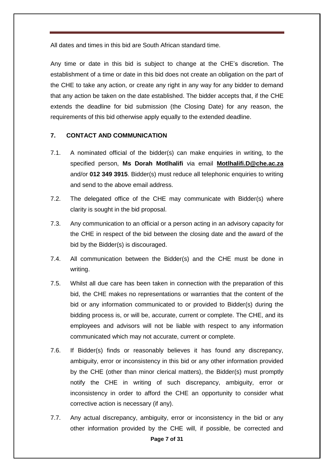All dates and times in this bid are South African standard time.

Any time or date in this bid is subject to change at the CHE's discretion. The establishment of a time or date in this bid does not create an obligation on the part of the CHE to take any action, or create any right in any way for any bidder to demand that any action be taken on the date established. The bidder accepts that, if the CHE extends the deadline for bid submission (the Closing Date) for any reason, the requirements of this bid otherwise apply equally to the extended deadline.

#### <span id="page-6-0"></span>**7. CONTACT AND COMMUNICATION**

- 7.1. A nominated official of the bidder(s) can make enquiries in writing, to the specified person, **Ms Dorah Motlhalifi** via email **[Motlhalifi.D@che.ac.za](mailto:Motlhalifi.D@che.ac.za)** and/or **012 349 3915**. Bidder(s) must reduce all telephonic enquiries to writing and send to the above email address.
- 7.2. The delegated office of the CHE may communicate with Bidder(s) where clarity is sought in the bid proposal.
- 7.3. Any communication to an official or a person acting in an advisory capacity for the CHE in respect of the bid between the closing date and the award of the bid by the Bidder(s) is discouraged.
- 7.4. All communication between the Bidder(s) and the CHE must be done in writing.
- 7.5. Whilst all due care has been taken in connection with the preparation of this bid, the CHE makes no representations or warranties that the content of the bid or any information communicated to or provided to Bidder(s) during the bidding process is, or will be, accurate, current or complete. The CHE, and its employees and advisors will not be liable with respect to any information communicated which may not accurate, current or complete.
- 7.6. If Bidder(s) finds or reasonably believes it has found any discrepancy, ambiguity, error or inconsistency in this bid or any other information provided by the CHE (other than minor clerical matters), the Bidder(s) must promptly notify the CHE in writing of such discrepancy, ambiguity, error or inconsistency in order to afford the CHE an opportunity to consider what corrective action is necessary (if any).
- 7.7. Any actual discrepancy, ambiguity, error or inconsistency in the bid or any other information provided by the CHE will, if possible, be corrected and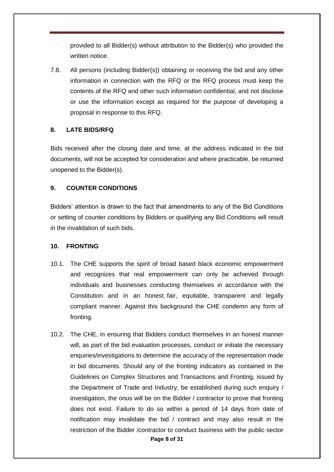provided to all Bidder(s) without attribution to the Bidder(s) who provided the written notice.

7.8. All persons (including Bidder(s)) obtaining or receiving the bid and any other information in connection with the RFQ or the RFQ process must keep the contents of the RFQ and other such information confidential, and not disclose or use the information except as required for the purpose of developing a proposal in response to this RFQ.

# <span id="page-7-0"></span>**8. LATE BIDS/RFQ**

Bids received after the closing date and time, at the address indicated in the bid documents, will not be accepted for consideration and where practicable, be returned unopened to the Bidder(s).

# <span id="page-7-1"></span>**9. COUNTER CONDITIONS**

Bidders' attention is drawn to the fact that amendments to any of the Bid Conditions or setting of counter conditions by Bidders or qualifying any Bid Conditions will result in the invalidation of such bids.

#### <span id="page-7-2"></span>**10. FRONTING**

- 10.1. The CHE supports the spirit of broad based black economic empowerment and recognizes that real empowerment can only be achieved through individuals and businesses conducting themselves in accordance with the Constitution and in an honest, fair, equitable, transparent and legally compliant manner. Against this background the CHE condemn any form of fronting.
- **Page 8 of 31** 10.2. The CHE, in ensuring that Bidders conduct themselves in an honest manner will, as part of the bid evaluation processes, conduct or initiate the necessary enquiries/investigations to determine the accuracy of the representation made in bid documents. Should any of the fronting indicators as contained in the Guidelines on Complex Structures and Transactions and Fronting, issued by the Department of Trade and Industry, be established during such enquiry / investigation, the onus will be on the Bidder / contractor to prove that fronting does not exist. Failure to do so within a period of 14 days from date of notification may invalidate the bid / contract and may also result in the restriction of the Bidder /contractor to conduct business with the public sector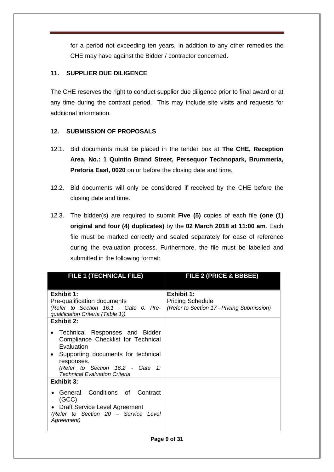for a period not exceeding ten years, in addition to any other remedies the CHE may have against the Bidder / contractor concerned**.**

# <span id="page-8-0"></span>**11. SUPPLIER DUE DILIGENCE**

The CHE reserves the right to conduct supplier due diligence prior to final award or at any time during the contract period. This may include site visits and requests for additional information.

# <span id="page-8-1"></span>**12. SUBMISSION OF PROPOSALS**

- 12.1. Bid documents must be placed in the tender box at **The CHE, Reception Area, No.: 1 Quintin Brand Street, Persequor Technopark, Brummeria, Pretoria East, 0020** on or before the closing date and time.
- 12.2. Bid documents will only be considered if received by the CHE before the closing date and time.
- 12.3. The bidder(s) are required to submit **Five (5)** copies of each file **(one (1) original and four (4) duplicates)** by the **02 March 2018 at 11:00 am**. Each file must be marked correctly and sealed separately for ease of reference during the evaluation process. Furthermore, the file must be labelled and submitted in the following format:

| <b>FILE 1 (TECHNICAL FILE)</b>                                                                                                                                                                                  | FILE 2 (PRICE & BBBEE)                   |
|-----------------------------------------------------------------------------------------------------------------------------------------------------------------------------------------------------------------|------------------------------------------|
|                                                                                                                                                                                                                 |                                          |
| <b>Exhibit 1:</b>                                                                                                                                                                                               | <b>Exhibit 1:</b>                        |
| Pre-qualification documents                                                                                                                                                                                     | <b>Pricing Schedule</b>                  |
| (Refer to Section 16.1 - Gate 0: Pre-<br>qualification Criteria (Table 1))                                                                                                                                      | (Refer to Section 17–Pricing Submission) |
| <b>Exhibit 2:</b>                                                                                                                                                                                               |                                          |
| • Technical Responses and Bidder<br>Compliance Checklist for Technical<br>Evaluation<br>• Supporting documents for technical<br>responses.<br>(Refer to Section 16.2 - Gate 1:<br>Technical Evaluation Criteria |                                          |
| <b>Exhibit 3:</b>                                                                                                                                                                                               |                                          |
| General Conditions of Contract<br>(GCC)                                                                                                                                                                         |                                          |
| • Draft Service Level Agreement<br>(Refer to Section 20 - Service Level<br>Agreement)                                                                                                                           |                                          |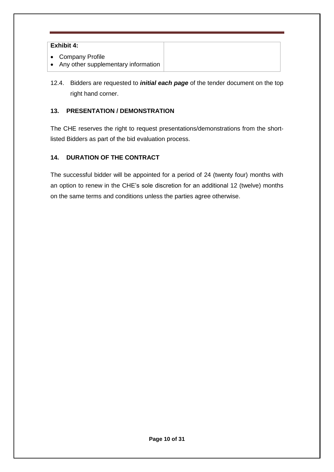# **Exhibit 4:**

- Company Profile
- Any other supplementary information
- 12.4. Bidders are requested to *initial each page* of the tender document on the top right hand corner.

# <span id="page-9-0"></span>**13. PRESENTATION / DEMONSTRATION**

The CHE reserves the right to request presentations/demonstrations from the shortlisted Bidders as part of the bid evaluation process.

# <span id="page-9-1"></span>**14. DURATION OF THE CONTRACT**

The successful bidder will be appointed for a period of 24 (twenty four) months with an option to renew in the CHE's sole discretion for an additional 12 (twelve) months on the same terms and conditions unless the parties agree otherwise.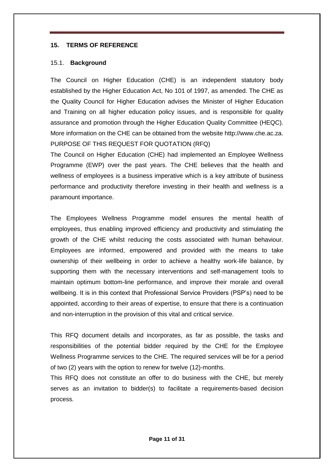#### **15. TERMS OF REFERENCE**

#### 15.1. **Background**

The Council on Higher Education (CHE) is an independent statutory body established by the Higher Education Act, No 101 of 1997, as amended. The CHE as the Quality Council for Higher Education advises the Minister of Higher Education and Training on all higher education policy issues, and is responsible for quality assurance and promotion through the Higher Education Quality Committee (HEQC). More information on the CHE can be obtained from the website http://www.che.ac.za. PURPOSE OF THIS REQUEST FOR QUOTATION (RFQ)

The Council on Higher Education (CHE) had implemented an Employee Wellness Programme (EWP) over the past years. The CHE believes that the health and wellness of employees is a business imperative which is a key attribute of business performance and productivity therefore investing in their health and wellness is a paramount importance.

The Employees Wellness Programme model ensures the mental health of employees, thus enabling improved efficiency and productivity and stimulating the growth of the CHE whilst reducing the costs associated with human behaviour. Employees are informed, empowered and provided with the means to take ownership of their wellbeing in order to achieve a healthy work-life balance, by supporting them with the necessary interventions and self-management tools to maintain optimum bottom-line performance, and improve their morale and overall wellbeing. It is in this context that Professional Service Providers (PSP's) need to be appointed, according to their areas of expertise, to ensure that there is a continuation and non-interruption in the provision of this vital and critical service.

This RFQ document details and incorporates, as far as possible, the tasks and responsibilities of the potential bidder required by the CHE for the Employee Wellness Programme services to the CHE. The required services will be for a period of two (2) years with the option to renew for twelve (12)-months.

This RFQ does not constitute an offer to do business with the CHE, but merely serves as an invitation to bidder(s) to facilitate a requirements-based decision process.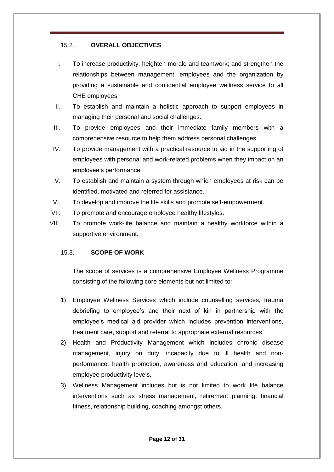# 15.2. **OVERALL OBJECTIVES**

- I. To increase productivity, heighten morale and teamwork; and strengthen the relationships between management, employees and the organization by providing a sustainable and confidential employee wellness service to all CHE employees.
- II. To establish and maintain a holistic approach to support employees in managing their personal and social challenges.
- III. To provide employees and their immediate family members with a comprehensive resource to help them address personal challenges.
- IV. To provide management with a practical resource to aid in the supporting of employees with personal and work-related problems when they impact on an employee's performance.
- V. To establish and maintain a system through which employees at risk can be identified, motivated and referred for assistance.
- VI. To develop and improve the life skills and promote self-empowerment.
- VII. To promote and encourage employee healthy lifestyles.
- VIII. To promote work-life balance and maintain a healthy workforce within a supportive environment.

#### 15.3. **SCOPE OF WORK**

The scope of services is a comprehensive Employee Wellness Programme consisting of the following core elements but not limited to:

- 1) Employee Wellness Services which include counselling services, trauma debriefing to employee's and their next of kin in partnership with the employee's medical aid provider which includes prevention interventions, treatment care, support and referral to appropriate external resources
- 2) Health and Productivity Management which includes chronic disease management, injury on duty, incapacity due to ill health and nonperformance, health promotion, awareness and education; and increasing employee productivity levels.
- 3) Wellness Management includes but is not limited to work life balance interventions such as stress management, retirement planning, financial fitness, relationship building, coaching amongst others.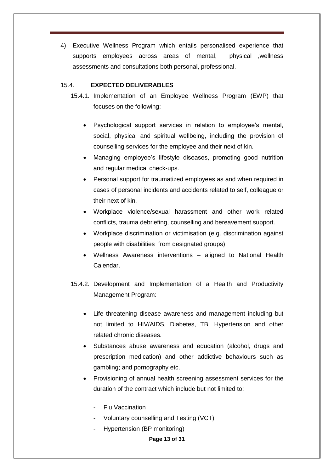4) Executive Wellness Program which entails personalised experience that supports employees across areas of mental, physical ,wellness assessments and consultations both personal, professional.

#### 15.4. **EXPECTED DELIVERABLES**

- 15.4.1. Implementation of an Employee Wellness Program (EWP) that focuses on the following:
	- Psychological support services in relation to employee's mental, social, physical and spiritual wellbeing, including the provision of counselling services for the employee and their next of kin.
	- Managing employee's lifestyle diseases, promoting good nutrition and regular medical check-ups.
	- Personal support for traumatized employees as and when required in cases of personal incidents and accidents related to self, colleague or their next of kin.
	- Workplace violence/sexual harassment and other work related conflicts, trauma debriefing, counselling and bereavement support.
	- Workplace discrimination or victimisation (e.g. discrimination against people with disabilities from designated groups)
	- Wellness Awareness interventions aligned to National Health Calendar.
- 15.4.2. Development and Implementation of a Health and Productivity Management Program:
	- Life threatening disease awareness and management including but not limited to HIV/AIDS, Diabetes, TB, Hypertension and other related chronic diseases.
	- Substances abuse awareness and education (alcohol, drugs and prescription medication) and other addictive behaviours such as gambling; and pornography etc.
	- Provisioning of annual health screening assessment services for the duration of the contract which include but not limited to:
		- **Flu Vaccination**
		- Voluntary counselling and Testing (VCT)
		- Hypertension (BP monitoring)

**Page 13 of 31**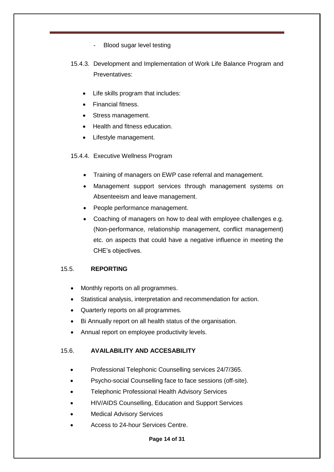- Blood sugar level testing
- 15.4.3. Development and Implementation of Work Life Balance Program and Preventatives:
	- Life skills program that includes:
	- Financial fitness.
	- Stress management.
	- Health and fitness education.
	- Lifestyle management.
- 15.4.4. Executive Wellness Program
	- Training of managers on EWP case referral and management.
	- Management support services through management systems on Absenteeism and leave management.
	- People performance management.
	- Coaching of managers on how to deal with employee challenges e.g. (Non-performance, relationship management, conflict management) etc. on aspects that could have a negative influence in meeting the CHE's objectives.

#### 15.5. **REPORTING**

- Monthly reports on all programmes.
- Statistical analysis, interpretation and recommendation for action.
- Quarterly reports on all programmes.
- Bi Annually report on all health status of the organisation.
- Annual report on employee productivity levels.

#### 15.6. **AVAILABILITY AND ACCESABILITY**

- Professional Telephonic Counselling services 24/7/365.
- Psycho-social Counselling face to face sessions (off-site).
- Telephonic Professional Health Advisory Services
- HIV/AIDS Counselling, Education and Support Services
- Medical Advisory Services
- Access to 24-hour Services Centre.

**Page 14 of 31**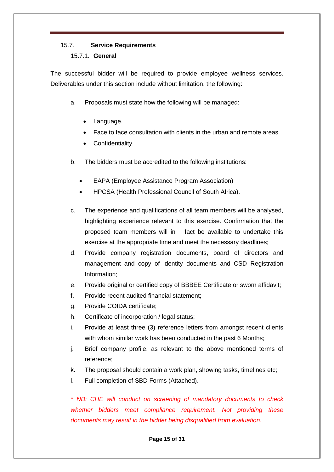# 15.7. **Service Requirements**

#### 15.7.1. **General**

The successful bidder will be required to provide employee wellness services. Deliverables under this section include without limitation, the following:

- a. Proposals must state how the following will be managed:
	- Language.
	- Face to face consultation with clients in the urban and remote areas.
	- Confidentiality.
- b. The bidders must be accredited to the following institutions:
	- EAPA (Employee Assistance Program Association)
	- HPCSA (Health Professional Council of South Africa).
- c. The experience and qualifications of all team members will be analysed, highlighting experience relevant to this exercise. Confirmation that the proposed team members will in fact be available to undertake this exercise at the appropriate time and meet the necessary deadlines;
- d. Provide company registration documents, board of directors and management and copy of identity documents and CSD Registration Information;
- e. Provide original or certified copy of BBBEE Certificate or sworn affidavit;
- f. Provide recent audited financial statement;
- g. Provide COIDA certificate;
- h. Certificate of incorporation / legal status;
- i. Provide at least three (3) reference letters from amongst recent clients with whom similar work has been conducted in the past 6 Months;
- j. Brief company profile, as relevant to the above mentioned terms of reference;
- k. The proposal should contain a work plan, showing tasks, timelines etc;
- l. Full completion of SBD Forms (Attached).

*\* NB: CHE will conduct on screening of mandatory documents to check whether bidders meet compliance requirement. Not providing these documents may result in the bidder being disqualified from evaluation.*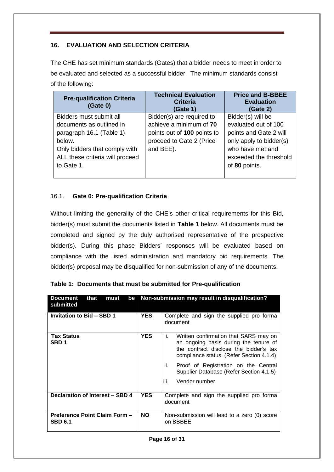# <span id="page-15-0"></span>**16. EVALUATION AND SELECTION CRITERIA**

The CHE has set minimum standards (Gates) that a bidder needs to meet in order to be evaluated and selected as a successful bidder. The minimum standards consist of the following:

| <b>Pre-qualification Criteria</b><br>(Gate 0) | <b>Technical Evaluation</b><br><b>Criteria</b><br>(Gate 1) | <b>Price and B-BBEE</b><br><b>Evaluation</b><br>(Gate 2) |
|-----------------------------------------------|------------------------------------------------------------|----------------------------------------------------------|
| Bidders must submit all                       | Bidder(s) are required to                                  | Bidder(s) will be                                        |
| documents as outlined in                      | achieve a minimum of 70                                    | evaluated out of 100                                     |
| paragraph 16.1 (Table 1)                      | points out of 100 points to                                | points and Gate 2 will                                   |
| below.                                        | proceed to Gate 2 (Price                                   | only apply to bidder(s)                                  |
| Only bidders that comply with                 | and BEE).                                                  | who have met and                                         |
| ALL these criteria will proceed               |                                                            | exceeded the threshold                                   |
| to Gate 1.                                    |                                                            | of 80 points.                                            |
|                                               |                                                            |                                                          |

# <span id="page-15-1"></span>16.1. **Gate 0: Pre-qualification Criteria**

Without limiting the generality of the CHE's other critical requirements for this Bid, bidder(s) must submit the documents listed in **Table 1** below. All documents must be completed and signed by the duly authorised representative of the prospective bidder(s). During this phase Bidders' responses will be evaluated based on compliance with the listed administration and mandatory bid requirements. The bidder(s) proposal may be disqualified for non-submission of any of the documents.

| <b>Document</b><br>that<br>be<br>must<br>submitted |            | Non-submission may result in disqualification?                                                                                                                             |
|----------------------------------------------------|------------|----------------------------------------------------------------------------------------------------------------------------------------------------------------------------|
| Invitation to Bid - SBD 1                          | <b>YES</b> | Complete and sign the supplied pro forma<br>document                                                                                                                       |
| <b>Tax Status</b><br>SBD <sub>1</sub>              | <b>YES</b> | Written confirmation that SARS may on<br>İ.<br>an ongoing basis during the tenure of<br>the contract disclose the bidder's tax<br>compliance status. (Refer Section 4.1.4) |
|                                                    |            | Proof of Registration on the Central<br>ii.<br>Supplier Database (Refer Section 4.1.5)                                                                                     |
|                                                    |            | iii.<br>Vendor number                                                                                                                                                      |
| Declaration of Interest - SBD 4                    | <b>YES</b> | Complete and sign the supplied pro forma<br>document                                                                                                                       |
| Preference Point Claim Form -<br><b>SBD 6.1</b>    | NO.        | Non-submission will lead to a zero (0) score<br>on BBBEE                                                                                                                   |

|  | Table 1: Documents that must be submitted for Pre-qualification |  |  |  |
|--|-----------------------------------------------------------------|--|--|--|
|--|-----------------------------------------------------------------|--|--|--|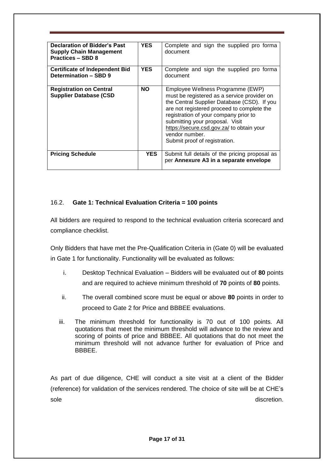| Declaration of Bidder's Past<br><b>Supply Chain Management</b><br><b>Practices - SBD 8</b> | <b>YES</b> | Complete and sign the supplied pro forma<br>document                                                                                                                                                                                                                                                                                                      |
|--------------------------------------------------------------------------------------------|------------|-----------------------------------------------------------------------------------------------------------------------------------------------------------------------------------------------------------------------------------------------------------------------------------------------------------------------------------------------------------|
| <b>Certificate of Independent Bid</b><br>Determination - SBD 9                             | <b>YES</b> | Complete and sign the supplied pro forma<br>document                                                                                                                                                                                                                                                                                                      |
| <b>Registration on Central</b><br><b>Supplier Database (CSD</b>                            | NO.        | Employee Wellness Programme (EWP)<br>must be registered as a service provider on<br>the Central Supplier Database (CSD). If you<br>are not registered proceed to complete the<br>registration of your company prior to<br>submitting your proposal. Visit<br>https://secure.csd.gov.za/ to obtain your<br>vendor number.<br>Submit proof of registration. |
| <b>Pricing Schedule</b>                                                                    | <b>YES</b> | Submit full details of the pricing proposal as<br>per Annexure A3 in a separate envelope                                                                                                                                                                                                                                                                  |

# <span id="page-16-0"></span>16.2. **Gate 1: Technical Evaluation Criteria = 100 points**

All bidders are required to respond to the technical evaluation criteria scorecard and compliance checklist.

Only Bidders that have met the Pre-Qualification Criteria in (Gate 0) will be evaluated in Gate 1 for functionality. Functionality will be evaluated as follows:

- i. Desktop Technical Evaluation Bidders will be evaluated out of **80** points and are required to achieve minimum threshold of **70** points of **80** points.
- ii. The overall combined score must be equal or above **80** points in order to proceed to Gate 2 for Price and BBBEE evaluations.
- iii. The minimum threshold for functionality is 70 out of 100 points. All quotations that meet the minimum threshold will advance to the review and scoring of points of price and BBBEE. All quotations that do not meet the minimum threshold will not advance further for evaluation of Price and BBBEE.

As part of due diligence, CHE will conduct a site visit at a client of the Bidder (reference) for validation of the services rendered. The choice of site will be at CHE's sole discretion.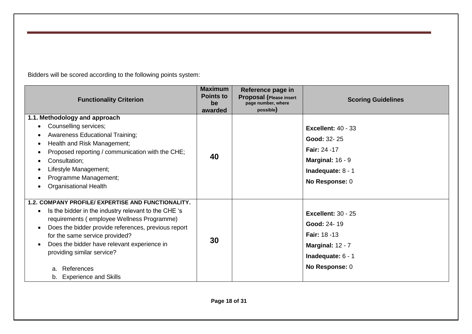Bidders will be scored according to the following points system:

| <b>Functionality Criterion</b>                                                                                                                                                                                                                                                                                                                                                                                                  | <b>Maximum</b><br><b>Points to</b><br>be<br>awarded | Reference page in<br><b>Proposal (Please insert</b><br>page number, where<br>possible) | <b>Scoring Guidelines</b>                                                                                                           |
|---------------------------------------------------------------------------------------------------------------------------------------------------------------------------------------------------------------------------------------------------------------------------------------------------------------------------------------------------------------------------------------------------------------------------------|-----------------------------------------------------|----------------------------------------------------------------------------------------|-------------------------------------------------------------------------------------------------------------------------------------|
| 1.1. Methodology and approach<br>Counselling services;<br><b>Awareness Educational Training;</b><br>٠<br>Health and Risk Management;<br>$\bullet$<br>Proposed reporting / communication with the CHE;<br>€<br>Consultation;<br>$\bullet$<br>Lifestyle Management;<br>$\bullet$<br>Programme Management;<br><b>Organisational Health</b>                                                                                         | 40                                                  |                                                                                        | <b>Excellent: 40 - 33</b><br>Good: 32-25<br><b>Fair: 24 -17</b><br><b>Marginal: 16 - 9</b><br>Inadequate: $8 - 1$<br>No Response: 0 |
| 1.2. COMPANY PROFILE/ EXPERTISE AND FUNCTIONALITY.<br>Is the bidder in the industry relevant to the CHE 's<br>$\bullet$<br>requirements (employee Wellness Programme)<br>Does the bidder provide references, previous report<br>$\bullet$<br>for the same service provided?<br>Does the bidder have relevant experience in<br>$\bullet$<br>providing similar service?<br>References<br>a.<br><b>Experience and Skills</b><br>b. | 30                                                  |                                                                                        | <b>Excellent: 30 - 25</b><br>Good: 24-19<br><b>Fair: 18 -13</b><br><b>Marginal: 12 - 7</b><br>Inadequate: $6 - 1$<br>No Response: 0 |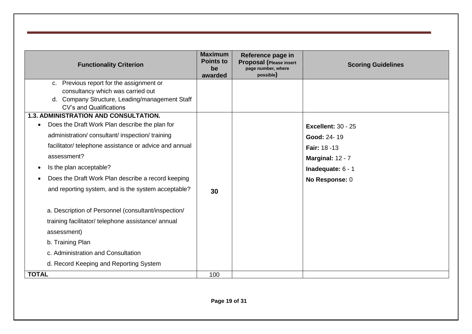| <b>Functionality Criterion</b>                              | <b>Maximum</b><br><b>Points to</b><br>be<br>awarded | Reference page in<br><b>Proposal (Please insert</b><br>page number, where<br>possible) | <b>Scoring Guidelines</b> |
|-------------------------------------------------------------|-----------------------------------------------------|----------------------------------------------------------------------------------------|---------------------------|
| c. Previous report for the assignment or                    |                                                     |                                                                                        |                           |
| consultancy which was carried out                           |                                                     |                                                                                        |                           |
| d. Company Structure, Leading/management Staff              |                                                     |                                                                                        |                           |
| CV's and Qualifications                                     |                                                     |                                                                                        |                           |
| <b>1.3. ADMINISTRATION AND CONSULTATION.</b>                |                                                     |                                                                                        |                           |
| Does the Draft Work Plan describe the plan for<br>$\bullet$ |                                                     |                                                                                        | <b>Excellent: 30 - 25</b> |
| administration/consultant/inspection/training               |                                                     |                                                                                        | Good: 24-19               |
| facilitator/ telephone assistance or advice and annual      |                                                     |                                                                                        | Fair: 18 -13              |
| assessment?                                                 |                                                     |                                                                                        | <b>Marginal: 12 - 7</b>   |
| Is the plan acceptable?                                     |                                                     |                                                                                        | Inadequate: 6 - 1         |
| Does the Draft Work Plan describe a record keeping          |                                                     |                                                                                        | No Response: 0            |
| and reporting system, and is the system acceptable?         | 30                                                  |                                                                                        |                           |
| a. Description of Personnel (consultant/inspection/         |                                                     |                                                                                        |                           |
| training facilitator/ telephone assistance/ annual          |                                                     |                                                                                        |                           |
| assessment)                                                 |                                                     |                                                                                        |                           |
| b. Training Plan                                            |                                                     |                                                                                        |                           |
| c. Administration and Consultation                          |                                                     |                                                                                        |                           |
| d. Record Keeping and Reporting System                      |                                                     |                                                                                        |                           |
| <b>TOTAL</b>                                                | 100                                                 |                                                                                        |                           |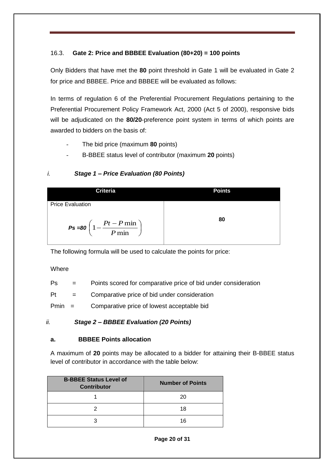# <span id="page-19-0"></span>16.3. **Gate 2: Price and BBBEE Evaluation (80+20) = 100 points**

Only Bidders that have met the **80** point threshold in Gate 1 will be evaluated in Gate 2 for price and BBBEE. Price and BBBEE will be evaluated as follows:

In terms of regulation 6 of the Preferential Procurement Regulations pertaining to the Preferential Procurement Policy Framework Act, 2000 (Act 5 of 2000), responsive bids will be adjudicated on the **80/20**-preference point system in terms of which points are awarded to bidders on the basis of:

- The bid price (maximum **80** points)
- B-BBEE status level of contributor (maximum **20** points)

# *i. Stage 1 – Price Evaluation (80 Points)*



The following formula will be used to calculate the points for price:

#### Where

| Ps |  | Points scored for comparative price of bid under consideration |
|----|--|----------------------------------------------------------------|
|----|--|----------------------------------------------------------------|

 $Pt =$  Comparative price of bid under consideration

Pmin = Comparative price of lowest acceptable bid

# *ii. Stage 2 – BBBEE Evaluation (20 Points)*

# **a. BBBEE Points allocation**

A maximum of **20** points may be allocated to a bidder for attaining their B-BBEE status level of contributor in accordance with the table below:

| <b>B-BBEE Status Level of</b><br><b>Contributor</b> | <b>Number of Points</b> |
|-----------------------------------------------------|-------------------------|
|                                                     | 20                      |
|                                                     | 18                      |
| ว                                                   | 16                      |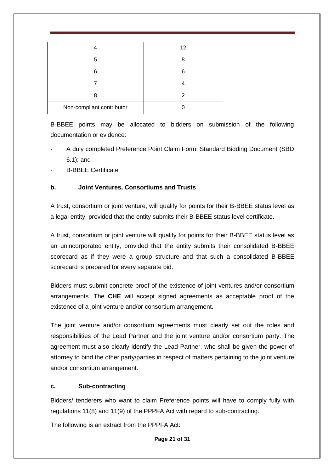|                           | 12 |
|---------------------------|----|
| 5                         | Я  |
| 6                         | ĥ  |
|                           |    |
| 8                         |    |
| Non-compliant contributor |    |

B-BBEE points may be allocated to bidders on submission of the following documentation or evidence:

- A duly completed Preference Point Claim Form: Standard Bidding Document (SBD 6.1); and
- B-BBEE Certificate

# **b. Joint Ventures, Consortiums and Trusts**

A trust, consortium or joint venture, will qualify for points for their B-BBEE status level as a legal entity, provided that the entity submits their B-BBEE status level certificate.

A trust, consortium or joint venture will qualify for points for their B-BBEE status level as an unincorporated entity, provided that the entity submits their consolidated B-BBEE scorecard as if they were a group structure and that such a consolidated B-BBEE scorecard is prepared for every separate bid.

Bidders must submit concrete proof of the existence of joint ventures and/or consortium arrangements. The **CHE** will accept signed agreements as acceptable proof of the existence of a joint venture and/or consortium arrangement.

The joint venture and/or consortium agreements must clearly set out the roles and responsibilities of the Lead Partner and the joint venture and/or consortium party. The agreement must also clearly identify the Lead Partner, who shall be given the power of attorney to bind the other party/parties in respect of matters pertaining to the joint venture and/or consortium arrangement.

# **c. Sub-contracting**

Bidders/ tenderers who want to claim Preference points will have to comply fully with regulations 11(8) and 11(9) of the PPPFA Act with regard to sub-contracting.

The following is an extract from the PPPFA Act: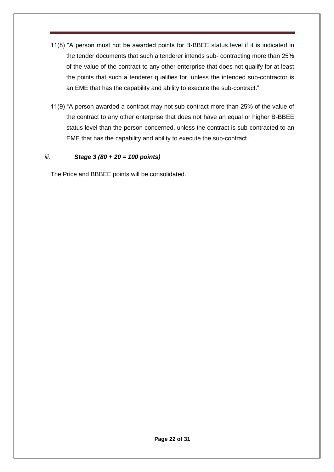- 11(8) "A person must not be awarded points for B-BBEE status level if it is indicated in the tender documents that such a tenderer intends sub- contracting more than 25% of the value of the contract to any other enterprise that does not qualify for at least the points that such a tenderer qualifies for, unless the intended sub-contractor is an EME that has the capability and ability to execute the sub-contract."
- 11(9) "A person awarded a contract may not sub-contract more than 25% of the value of the contract to any other enterprise that does not have an equal or higher B-BBEE status level than the person concerned, unless the contract is sub-contracted to an EME that has the capability and ability to execute the sub-contract."

# *iii. Stage 3 (80 + 20 = 100 points)*

The Price and BBBEE points will be consolidated.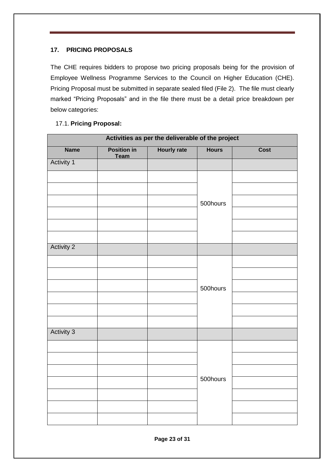# **17. PRICING PROPOSALS**

The CHE requires bidders to propose two pricing proposals being for the provision of Employee Wellness Programme Services to the Council on Higher Education (CHE). Pricing Proposal must be submitted in separate sealed filed (File 2). The file must clearly marked "Pricing Proposals" and in the file there must be a detail price breakdown per below categories:

# 17.1. **Pricing Proposal:**

| Activities as per the deliverable of the project |                            |                    |              |      |
|--------------------------------------------------|----------------------------|--------------------|--------------|------|
| <b>Name</b>                                      | <b>Position in</b><br>Team | <b>Hourly rate</b> | <b>Hours</b> | Cost |
| <b>Activity 1</b>                                |                            |                    |              |      |
|                                                  |                            |                    |              |      |
|                                                  |                            |                    |              |      |
|                                                  |                            |                    | 500hours     |      |
|                                                  |                            |                    |              |      |
|                                                  |                            |                    |              |      |
|                                                  |                            |                    |              |      |
| <b>Activity 2</b>                                |                            |                    |              |      |
|                                                  |                            |                    |              |      |
|                                                  |                            |                    |              |      |
|                                                  |                            |                    | 500hours     |      |
|                                                  |                            |                    |              |      |
|                                                  |                            |                    |              |      |
|                                                  |                            |                    |              |      |
| Activity 3                                       |                            |                    |              |      |
|                                                  |                            |                    |              |      |
|                                                  |                            |                    |              |      |
|                                                  |                            |                    |              |      |
|                                                  |                            |                    | 500hours     |      |
|                                                  |                            |                    |              |      |
|                                                  |                            |                    |              |      |
|                                                  |                            |                    |              |      |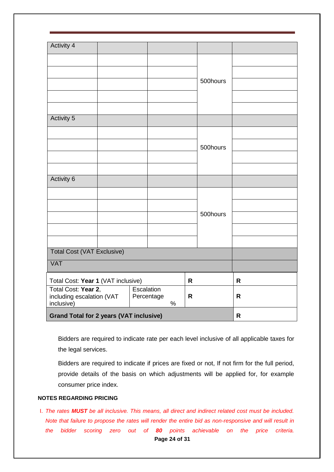| <b>Activity 4</b>                                  |                    |              |              |
|----------------------------------------------------|--------------------|--------------|--------------|
|                                                    |                    |              |              |
|                                                    |                    |              |              |
|                                                    |                    | 500hours     |              |
|                                                    |                    |              |              |
|                                                    |                    |              |              |
|                                                    |                    |              |              |
| Activity 5                                         |                    |              |              |
|                                                    |                    |              |              |
|                                                    |                    | 500hours     |              |
|                                                    |                    |              |              |
|                                                    |                    |              |              |
| <b>Activity 6</b>                                  |                    |              |              |
|                                                    |                    |              |              |
|                                                    |                    |              |              |
|                                                    |                    | 500hours     |              |
|                                                    |                    |              |              |
|                                                    |                    |              |              |
| <b>Total Cost (VAT Exclusive)</b>                  |                    |              |              |
| <b>VAT</b>                                         |                    |              |              |
| Total Cost: Year 1 (VAT inclusive)<br>$\mathsf{R}$ |                    |              | $\mathsf{R}$ |
| Total Cost: Year 2,<br>Escalation                  |                    |              |              |
| including escalation (VAT<br>inclusive)            | Percentage<br>$\%$ | $\mathsf{R}$ | R            |
| <b>Grand Total for 2 years (VAT inclusive)</b>     |                    |              | $\mathsf{R}$ |

Bidders are required to indicate rate per each level inclusive of all applicable taxes for the legal services.

Bidders are required to indicate if prices are fixed or not, If not firm for the full period, provide details of the basis on which adjustments will be applied for, for example consumer price index.

#### **NOTES REGARDING PRICING**

**Page 24 of 31** I. *The rates MUST be all inclusive. This means, all direct and indirect related cost must be included. Note that failure to propose the rates will render the entire bid as non-responsive and will result in the bidder scoring zero out of 80 points achievable on the price criteria.*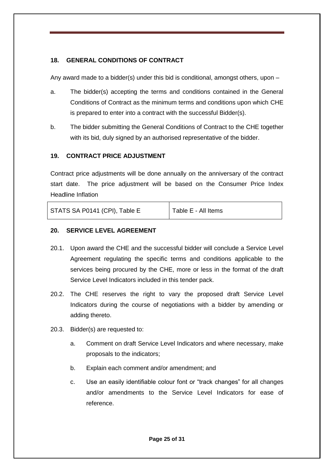# <span id="page-24-0"></span>**18. GENERAL CONDITIONS OF CONTRACT**

Any award made to a bidder(s) under this bid is conditional, amongst others, upon –

- a. The bidder(s) accepting the terms and conditions contained in the General Conditions of Contract as the minimum terms and conditions upon which CHE is prepared to enter into a contract with the successful Bidder(s).
- b. The bidder submitting the General Conditions of Contract to the CHE together with its bid, duly signed by an authorised representative of the bidder.

# <span id="page-24-1"></span>**19. CONTRACT PRICE ADJUSTMENT**

Contract price adjustments will be done annually on the anniversary of the contract start date. The price adjustment will be based on the Consumer Price Index Headline Inflation

| STATS SA P0141 (CPI), Table E | Table E - All Items |
|-------------------------------|---------------------|

#### <span id="page-24-2"></span>**20. SERVICE LEVEL AGREEMENT**

- 20.1. Upon award the CHE and the successful bidder will conclude a Service Level Agreement regulating the specific terms and conditions applicable to the services being procured by the CHE, more or less in the format of the draft Service Level Indicators included in this tender pack.
- 20.2. The CHE reserves the right to vary the proposed draft Service Level Indicators during the course of negotiations with a bidder by amending or adding thereto.
- 20.3. Bidder(s) are requested to:
	- a. Comment on draft Service Level Indicators and where necessary, make proposals to the indicators;
	- b. Explain each comment and/or amendment; and
	- c. Use an easily identifiable colour font or "track changes" for all changes and/or amendments to the Service Level Indicators for ease of reference.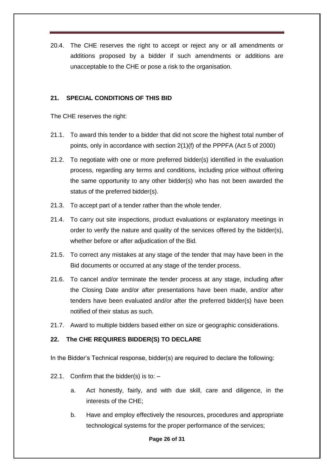20.4. The CHE reserves the right to accept or reject any or all amendments or additions proposed by a bidder if such amendments or additions are unacceptable to the CHE or pose a risk to the organisation.

#### <span id="page-25-0"></span>**21. SPECIAL CONDITIONS OF THIS BID**

The CHE reserves the right:

- 21.1. To award this tender to a bidder that did not score the highest total number of points, only in accordance with section 2(1)(f) of the PPPFA (Act 5 of 2000)
- 21.2. To negotiate with one or more preferred bidder(s) identified in the evaluation process, regarding any terms and conditions, including price without offering the same opportunity to any other bidder(s) who has not been awarded the status of the preferred bidder(s).
- 21.3. To accept part of a tender rather than the whole tender.
- 21.4. To carry out site inspections, product evaluations or explanatory meetings in order to verify the nature and quality of the services offered by the bidder(s), whether before or after adjudication of the Bid.
- 21.5. To correct any mistakes at any stage of the tender that may have been in the Bid documents or occurred at any stage of the tender process.
- 21.6. To cancel and/or terminate the tender process at any stage, including after the Closing Date and/or after presentations have been made, and/or after tenders have been evaluated and/or after the preferred bidder(s) have been notified of their status as such.
- 21.7. Award to multiple bidders based either on size or geographic considerations.

#### <span id="page-25-1"></span>**22. The CHE REQUIRES BIDDER(S) TO DECLARE**

In the Bidder's Technical response, bidder(s) are required to declare the following:

- 22.1. Confirm that the bidder(s) is to:  $$ 
	- a. Act honestly, fairly, and with due skill, care and diligence, in the interests of the CHE;
	- b. Have and employ effectively the resources, procedures and appropriate technological systems for the proper performance of the services;

#### **Page 26 of 31**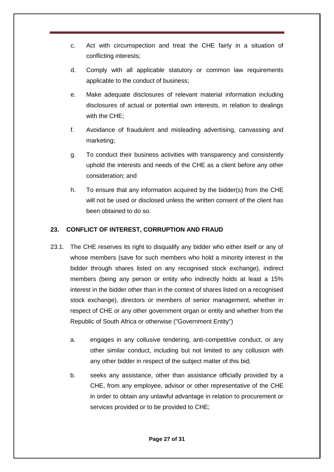- c. Act with circumspection and treat the CHE fairly in a situation of conflicting interests;
- d. Comply with all applicable statutory or common law requirements applicable to the conduct of business;
- e. Make adequate disclosures of relevant material information including disclosures of actual or potential own interests, in relation to dealings with the CHE;
- f. Avoidance of fraudulent and misleading advertising, canvassing and marketing;
- g. To conduct their business activities with transparency and consistently uphold the interests and needs of the CHE as a client before any other consideration; and
- h. To ensure that any information acquired by the bidder(s) from the CHE will not be used or disclosed unless the written consent of the client has been obtained to do so.

# <span id="page-26-0"></span>**23. CONFLICT OF INTEREST, CORRUPTION AND FRAUD**

- 23.1. The CHE reserves its right to disqualify any bidder who either itself or any of whose members (save for such members who hold a minority interest in the bidder through shares listed on any recognised stock exchange), indirect members (being any person or entity who indirectly holds at least a 15% interest in the bidder other than in the context of shares listed on a recognised stock exchange), directors or members of senior management, whether in respect of CHE or any other government organ or entity and whether from the Republic of South Africa or otherwise ("Government Entity")
	- a. engages in any collusive tendering, anti-competitive conduct, or any other similar conduct, including but not limited to any collusion with any other bidder in respect of the subject matter of this bid;
	- b. seeks any assistance, other than assistance officially provided by a CHE, from any employee, advisor or other representative of the CHE in order to obtain any unlawful advantage in relation to procurement or services provided or to be provided to CHE;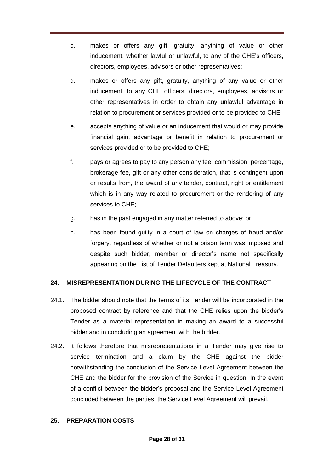- c. makes or offers any gift, gratuity, anything of value or other inducement, whether lawful or unlawful, to any of the CHE's officers, directors, employees, advisors or other representatives;
- d. makes or offers any gift, gratuity, anything of any value or other inducement, to any CHE officers, directors, employees, advisors or other representatives in order to obtain any unlawful advantage in relation to procurement or services provided or to be provided to CHE;
- e. accepts anything of value or an inducement that would or may provide financial gain, advantage or benefit in relation to procurement or services provided or to be provided to CHE;
- f. pays or agrees to pay to any person any fee, commission, percentage, brokerage fee, gift or any other consideration, that is contingent upon or results from, the award of any tender, contract, right or entitlement which is in any way related to procurement or the rendering of any services to CHE;
- g. has in the past engaged in any matter referred to above; or
- h. has been found guilty in a court of law on charges of fraud and/or forgery, regardless of whether or not a prison term was imposed and despite such bidder, member or director's name not specifically appearing on the List of Tender Defaulters kept at National Treasury.

# <span id="page-27-0"></span>**24. MISREPRESENTATION DURING THE LIFECYCLE OF THE CONTRACT**

- 24.1. The bidder should note that the terms of its Tender will be incorporated in the proposed contract by reference and that the CHE relies upon the bidder's Tender as a material representation in making an award to a successful bidder and in concluding an agreement with the bidder.
- 24.2. It follows therefore that misrepresentations in a Tender may give rise to service termination and a claim by the CHE against the bidder notwithstanding the conclusion of the Service Level Agreement between the CHE and the bidder for the provision of the Service in question. In the event of a conflict between the bidder's proposal and the Service Level Agreement concluded between the parties, the Service Level Agreement will prevail.

# <span id="page-27-1"></span>**25. PREPARATION COSTS**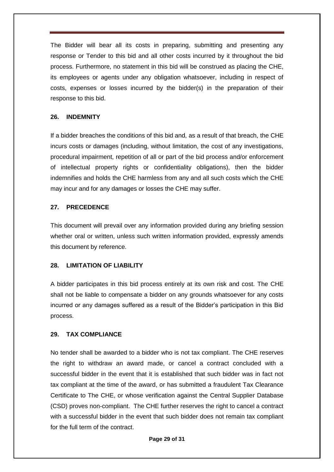The Bidder will bear all its costs in preparing, submitting and presenting any response or Tender to this bid and all other costs incurred by it throughout the bid process. Furthermore, no statement in this bid will be construed as placing the CHE, its employees or agents under any obligation whatsoever, including in respect of costs, expenses or losses incurred by the bidder(s) in the preparation of their response to this bid.

#### <span id="page-28-0"></span>**26. INDEMNITY**

If a bidder breaches the conditions of this bid and, as a result of that breach, the CHE incurs costs or damages (including, without limitation, the cost of any investigations, procedural impairment, repetition of all or part of the bid process and/or enforcement of intellectual property rights or confidentiality obligations), then the bidder indemnifies and holds the CHE harmless from any and all such costs which the CHE may incur and for any damages or losses the CHE may suffer.

#### <span id="page-28-1"></span>**27. PRECEDENCE**

This document will prevail over any information provided during any briefing session whether oral or written, unless such written information provided, expressly amends this document by reference.

#### <span id="page-28-2"></span>**28. LIMITATION OF LIABILITY**

A bidder participates in this bid process entirely at its own risk and cost. The CHE shall not be liable to compensate a bidder on any grounds whatsoever for any costs incurred or any damages suffered as a result of the Bidder's participation in this Bid process.

#### <span id="page-28-3"></span>**29. TAX COMPLIANCE**

No tender shall be awarded to a bidder who is not tax compliant. The CHE reserves the right to withdraw an award made, or cancel a contract concluded with a successful bidder in the event that it is established that such bidder was in fact not tax compliant at the time of the award, or has submitted a fraudulent Tax Clearance Certificate to The CHE, or whose verification against the Central Supplier Database (CSD) proves non-compliant. The CHE further reserves the right to cancel a contract with a successful bidder in the event that such bidder does not remain tax compliant for the full term of the contract.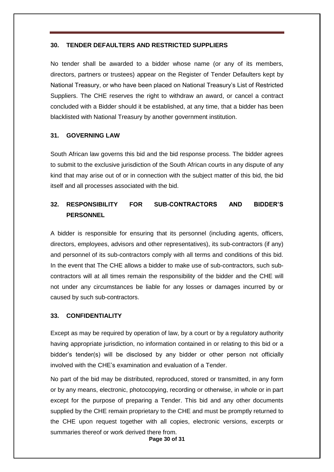#### <span id="page-29-0"></span>**30. TENDER DEFAULTERS AND RESTRICTED SUPPLIERS**

No tender shall be awarded to a bidder whose name (or any of its members, directors, partners or trustees) appear on the Register of Tender Defaulters kept by National Treasury, or who have been placed on National Treasury's List of Restricted Suppliers. The CHE reserves the right to withdraw an award, or cancel a contract concluded with a Bidder should it be established, at any time, that a bidder has been blacklisted with National Treasury by another government institution.

#### <span id="page-29-1"></span>**31. GOVERNING LAW**

South African law governs this bid and the bid response process. The bidder agrees to submit to the exclusive jurisdiction of the South African courts in any dispute of any kind that may arise out of or in connection with the subject matter of this bid, the bid itself and all processes associated with the bid.

# <span id="page-29-2"></span>**32. RESPONSIBILITY FOR SUB-CONTRACTORS AND BIDDER'S PERSONNEL**

A bidder is responsible for ensuring that its personnel (including agents, officers, directors, employees, advisors and other representatives), its sub-contractors (if any) and personnel of its sub-contractors comply with all terms and conditions of this bid. In the event that The CHE allows a bidder to make use of sub-contractors, such subcontractors will at all times remain the responsibility of the bidder and the CHE will not under any circumstances be liable for any losses or damages incurred by or caused by such sub-contractors.

#### <span id="page-29-3"></span>**33. CONFIDENTIALITY**

Except as may be required by operation of law, by a court or by a regulatory authority having appropriate jurisdiction, no information contained in or relating to this bid or a bidder's tender(s) will be disclosed by any bidder or other person not officially involved with the CHE's examination and evaluation of a Tender.

No part of the bid may be distributed, reproduced, stored or transmitted, in any form or by any means, electronic, photocopying, recording or otherwise, in whole or in part except for the purpose of preparing a Tender. This bid and any other documents supplied by the CHE remain proprietary to the CHE and must be promptly returned to the CHE upon request together with all copies, electronic versions, excerpts or summaries thereof or work derived there from.

**Page 30 of 31**